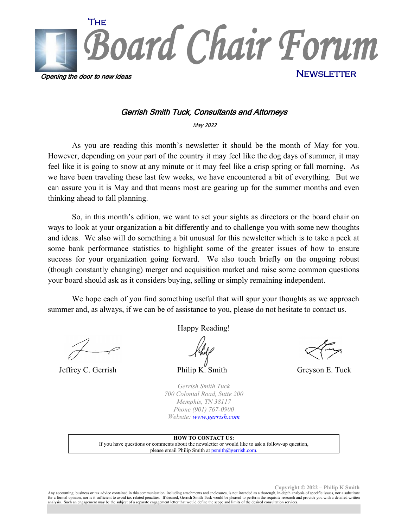

#### Gerrish Smith Tuck, Consultants and Attorneys

May 2022

As you are reading this month's newsletter it should be the month of May for you. However, depending on your part of the country it may feel like the dog days of summer, it may feel like it is going to snow at any minute or it may feel like a crisp spring or fall morning. As we have been traveling these last few weeks, we have encountered a bit of everything. But we can assure you it is May and that means most are gearing up for the summer months and even thinking ahead to fall planning.

So, in this month's edition, we want to set your sights as directors or the board chair on ways to look at your organization a bit differently and to challenge you with some new thoughts and ideas. We also will do something a bit unusual for this newsletter which is to take a peek at some bank performance statistics to highlight some of the greater issues of how to ensure success for your organization going forward. We also touch briefly on the ongoing robust (though constantly changing) merger and acquisition market and raise some common questions your board should ask as it considers buying, selling or simply remaining independent.

We hope each of you find something useful that will spur your thoughts as we approach summer and, as always, if we can be of assistance to you, please do not hesitate to contact us.

Jeffrey C. Gerrish Philip K. Smith Greyson E. Tuck

Happy Reading!

*Gerrish Smith Tuck 700 Colonial Road, Suite 200 Memphis, TN 38117 Phone (901) 767-0900 Website: [www.gerrish.com](http://www.gerrish.com/)*

**HOW TO CONTACT US:** If you have questions or comments about the newsletter or would like to ask a follow-up question, please email Philip Smith at **psmith@gerrish.com** 

**Copyright © 2022 – Philip K Smith**

Any accounting, business or tax advice contained in this communication, including attachments and enclosures, is not intended as a thorough, in-depth analysis of specific issues, nor a substitute for a formal opinion, nor is it sufficient to avoid tax-related penalties. If desired, Gerrish Smith Tuck would be pleased to perform the requisite research and provide you with a detailed written<br>analysis. Such an engagem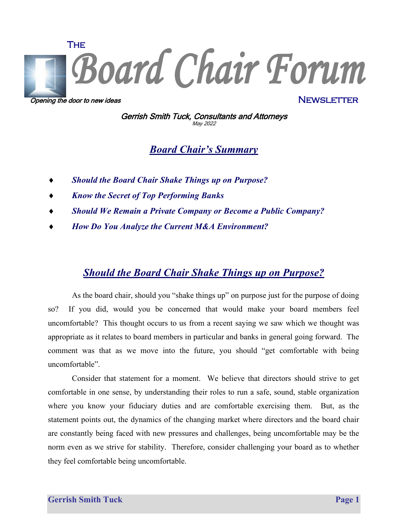

Opening the door to new ideas

**NEWSLETTER** 

Gerrish Smith Tuck, Consultants and Attorneys May <sup>2022</sup>

*Board Chair's Summary*

- ♦ *Should the Board Chair Shake Things up on Purpose?*
- ♦ *Know the Secret of Top Performing Banks*
- *Should We Remain a Private Company or Become a Public Company?*
- ♦ *How Do You Analyze the Current M&A Environment?*

## *Should the Board Chair Shake Things up on Purpose?*

As the board chair, should you "shake things up" on purpose just for the purpose of doing so? If you did, would you be concerned that would make your board members feel uncomfortable? This thought occurs to us from a recent saying we saw which we thought was appropriate as it relates to board members in particular and banks in general going forward. The comment was that as we move into the future, you should "get comfortable with being uncomfortable".

Consider that statement for a moment. We believe that directors should strive to get comfortable in one sense, by understanding their roles to run a safe, sound, stable organization where you know your fiduciary duties and are comfortable exercising them. But, as the statement points out, the dynamics of the changing market where directors and the board chair are constantly being faced with new pressures and challenges, being uncomfortable may be the norm even as we strive for stability. Therefore, consider challenging your board as to whether they feel comfortable being uncomfortable.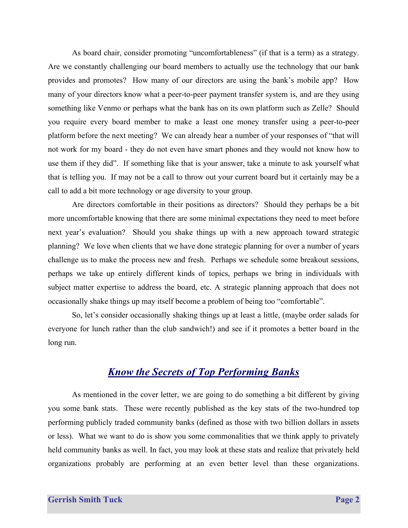As board chair, consider promoting "uncomfortableness" (if that is a term) as a strategy. Are we constantly challenging our board members to actually use the technology that our bank provides and promotes? How many of our directors are using the bank's mobile app? How many of your directors know what a peer-to-peer payment transfer system is, and are they using something like Venmo or perhaps what the bank has on its own platform such as Zelle? Should you require every board member to make a least one money transfer using a peer-to-peer platform before the next meeting? We can already hear a number of your responses of "that will not work for my board - they do not even have smart phones and they would not know how to use them if they did". If something like that is your answer, take a minute to ask yourself what that is telling you. If may not be a call to throw out your current board but it certainly may be a call to add a bit more technology or age diversity to your group.

Are directors comfortable in their positions as directors? Should they perhaps be a bit more uncomfortable knowing that there are some minimal expectations they need to meet before next year's evaluation? Should you shake things up with a new approach toward strategic planning? We love when clients that we have done strategic planning for over a number of years challenge us to make the process new and fresh. Perhaps we schedule some breakout sessions, perhaps we take up entirely different kinds of topics, perhaps we bring in individuals with subject matter expertise to address the board, etc. A strategic planning approach that does not occasionally shake things up may itself become a problem of being too "comfortable".

So, let's consider occasionally shaking things up at least a little, (maybe order salads for everyone for lunch rather than the club sandwich!) and see if it promotes a better board in the long run.

#### *Know the Secrets of Top Performing Banks*

As mentioned in the cover letter, we are going to do something a bit different by giving you some bank stats. These were recently published as the key stats of the two-hundred top performing publicly traded community banks (defined as those with two billion dollars in assets or less). What we want to do is show you some commonalities that we think apply to privately held community banks as well. In fact, you may look at these stats and realize that privately held organizations probably are performing at an even better level than these organizations.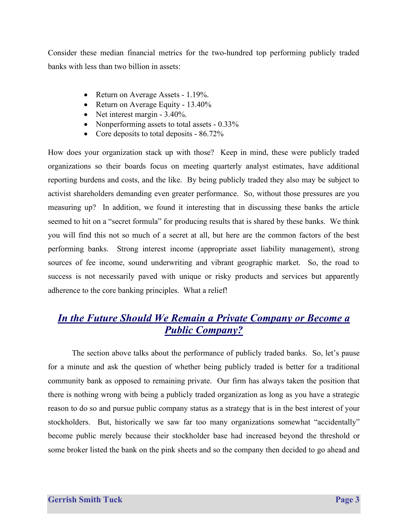Consider these median financial metrics for the two-hundred top performing publicly traded banks with less than two billion in assets:

- Return on Average Assets 1.19%.
- Return on Average Equity 13.40%
- Net interest margin 3.40%.
- Nonperforming assets to total assets 0.33%
- Core deposits to total deposits 86.72%

How does your organization stack up with those? Keep in mind, these were publicly traded organizations so their boards focus on meeting quarterly analyst estimates, have additional reporting burdens and costs, and the like. By being publicly traded they also may be subject to activist shareholders demanding even greater performance. So, without those pressures are you measuring up? In addition, we found it interesting that in discussing these banks the article seemed to hit on a "secret formula" for producing results that is shared by these banks. We think you will find this not so much of a secret at all, but here are the common factors of the best performing banks. Strong interest income (appropriate asset liability management), strong sources of fee income, sound underwriting and vibrant geographic market. So, the road to success is not necessarily paved with unique or risky products and services but apparently adherence to the core banking principles. What a relief!

# *In the Future Should We Remain a Private Company or Become a Public Company?*

The section above talks about the performance of publicly traded banks. So, let's pause for a minute and ask the question of whether being publicly traded is better for a traditional community bank as opposed to remaining private. Our firm has always taken the position that there is nothing wrong with being a publicly traded organization as long as you have a strategic reason to do so and pursue public company status as a strategy that is in the best interest of your stockholders. But, historically we saw far too many organizations somewhat "accidentally" become public merely because their stockholder base had increased beyond the threshold or some broker listed the bank on the pink sheets and so the company then decided to go ahead and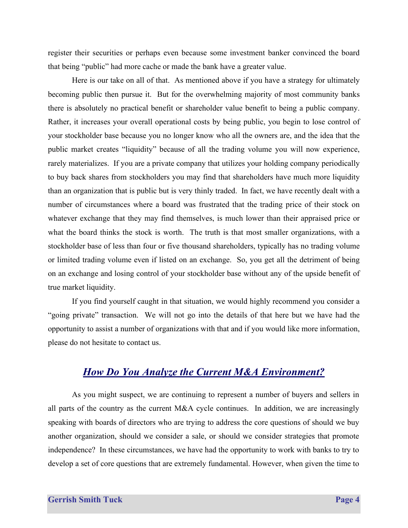register their securities or perhaps even because some investment banker convinced the board that being "public" had more cache or made the bank have a greater value.

Here is our take on all of that. As mentioned above if you have a strategy for ultimately becoming public then pursue it. But for the overwhelming majority of most community banks there is absolutely no practical benefit or shareholder value benefit to being a public company. Rather, it increases your overall operational costs by being public, you begin to lose control of your stockholder base because you no longer know who all the owners are, and the idea that the public market creates "liquidity" because of all the trading volume you will now experience, rarely materializes. If you are a private company that utilizes your holding company periodically to buy back shares from stockholders you may find that shareholders have much more liquidity than an organization that is public but is very thinly traded. In fact, we have recently dealt with a number of circumstances where a board was frustrated that the trading price of their stock on whatever exchange that they may find themselves, is much lower than their appraised price or what the board thinks the stock is worth. The truth is that most smaller organizations, with a stockholder base of less than four or five thousand shareholders, typically has no trading volume or limited trading volume even if listed on an exchange. So, you get all the detriment of being on an exchange and losing control of your stockholder base without any of the upside benefit of true market liquidity.

If you find yourself caught in that situation, we would highly recommend you consider a "going private" transaction. We will not go into the details of that here but we have had the opportunity to assist a number of organizations with that and if you would like more information, please do not hesitate to contact us.

### *How Do You Analyze the Current M&A Environment?*

As you might suspect, we are continuing to represent a number of buyers and sellers in all parts of the country as the current M&A cycle continues. In addition, we are increasingly speaking with boards of directors who are trying to address the core questions of should we buy another organization, should we consider a sale, or should we consider strategies that promote independence? In these circumstances, we have had the opportunity to work with banks to try to develop a set of core questions that are extremely fundamental. However, when given the time to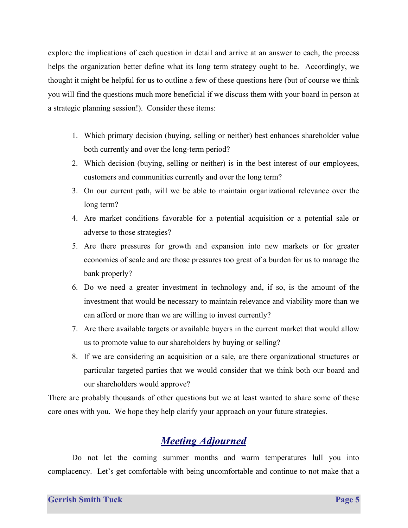explore the implications of each question in detail and arrive at an answer to each, the process helps the organization better define what its long term strategy ought to be. Accordingly, we thought it might be helpful for us to outline a few of these questions here (but of course we think you will find the questions much more beneficial if we discuss them with your board in person at a strategic planning session!). Consider these items:

- 1. Which primary decision (buying, selling or neither) best enhances shareholder value both currently and over the long-term period?
- 2. Which decision (buying, selling or neither) is in the best interest of our employees, customers and communities currently and over the long term?
- 3. On our current path, will we be able to maintain organizational relevance over the long term?
- 4. Are market conditions favorable for a potential acquisition or a potential sale or adverse to those strategies?
- 5. Are there pressures for growth and expansion into new markets or for greater economies of scale and are those pressures too great of a burden for us to manage the bank properly?
- 6. Do we need a greater investment in technology and, if so, is the amount of the investment that would be necessary to maintain relevance and viability more than we can afford or more than we are willing to invest currently?
- 7. Are there available targets or available buyers in the current market that would allow us to promote value to our shareholders by buying or selling?
- 8. If we are considering an acquisition or a sale, are there organizational structures or particular targeted parties that we would consider that we think both our board and our shareholders would approve?

There are probably thousands of other questions but we at least wanted to share some of these core ones with you. We hope they help clarify your approach on your future strategies.

# *Meeting Adjourned*

Do not let the coming summer months and warm temperatures lull you into complacency. Let's get comfortable with being uncomfortable and continue to not make that a